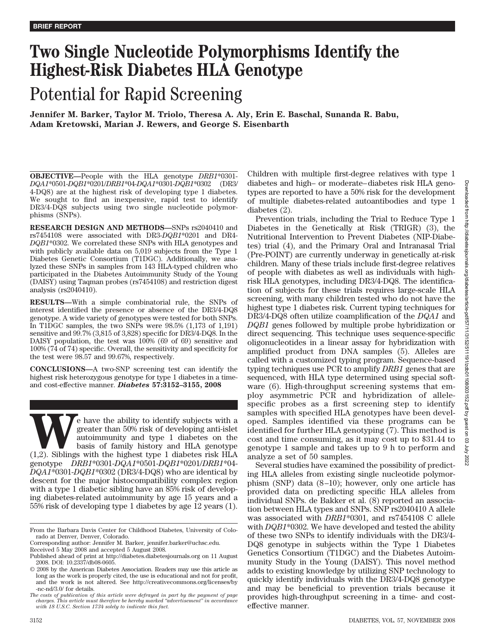# **Two Single Nucleotide Polymorphisms Identify the Highest-Risk Diabetes HLA Genotype**

# Potential for Rapid Screening

**Jennifer M. Barker, Taylor M. Triolo, Theresa A. Aly, Erin E. Baschal, Sunanda R. Babu, Adam Kretowski, Marian J. Rewers, and George S. Eisenbarth**

**OBJECTIVE—**People with the HLA genotype *DRB1*\*0301- *DQA1*\*0501-*DQB1*\*0201/*DRB1*\*04-*DQA1*\*0301-*DQB1*\*0302 (DR3/ 4-DQ8) are at the highest risk of developing type 1 diabetes. We sought to find an inexpensive, rapid test to identify DR3/4-DQ8 subjects using two single nucleotide polymorphisms (SNPs).

**RESEARCH DESIGN AND METHODS—**SNPs rs2040410 and rs7454108 were associated with DR3-*DQB1*\*0201 and DR4- *DQB1*\*0302. We correlated these SNPs with HLA genotypes and with publicly available data on 5,019 subjects from the Type 1 Diabetes Genetic Consortium (T1DGC). Additionally, we analyzed these SNPs in samples from 143 HLA-typed children who participated in the Diabetes Autoimmunity Study of the Young (DAISY) using Taqman probes (rs7454108) and restriction digest analysis (rs2040410).

**RESULTS—**With a simple combinatorial rule, the SNPs of interest identified the presence or absence of the DR3/4-DQ8 genotype. A wide variety of genotypes were tested for both SNPs. In T1DGC samples, the two SNPs were 98.5% (1,173 of 1,191) sensitive and 99.7% (3,815 of 3,828) specific for DR3/4-DQ8. In the DAISY population, the test was 100% (69 of 69) sensitive and 100% (74 of 74) specific. Overall, the sensitivity and specificity for the test were 98.57 and 99.67%, respectively.

**CONCLUSIONS—**A two-SNP screening test can identify the highest risk heterozygous genotype for type 1 diabetes in a timeand cost-effective manner. *Diabetes* **57:3152–3155, 2008**

**WE** have the ability to identify subjects with a greater than 50% risk of developing anti-islet autoimmunity and type 1 diabetes on the basis of family history and HLA genotype (1,2). Siblings with the highest type 1 diab greater than 50% risk of developing anti-islet autoimmunity and type 1 diabetes on the basis of family history and HLA genotype genotype *DRB1*\*0301-*DQA1*\*0501-*DQB1*\*0201/*DRB1*\*04- *DQA1*\*0301-*DQB1*\*0302 (DR3/4-DQ8) who are identical by descent for the major histocompatibility complex region with a type 1 diabetic sibling have an 85% risk of developing diabetes-related autoimmunity by age 15 years and a 55% risk of developing type 1 diabetes by age 12 years (1).

Children with multiple first-degree relatives with type 1 diabetes and high– or moderate– diabetes risk HLA genotypes are reported to have a 50% risk for the development of multiple diabetes-related autoantibodies and type 1 diabetes (2).

Prevention trials, including the Trial to Reduce Type 1 Diabetes in the Genetically at Risk (TRIGR) (3), the Nutritional Intervention to Prevent Diabetes (NIP-Diabetes) trial (4), and the Primary Oral and Intranasal Trial (Pre-POINT) are currently underway in genetically at-risk children. Many of these trials include first-degree relatives of people with diabetes as well as individuals with highrisk HLA genotypes, including DR3/4-DQ8. The identification of subjects for these trials requires large-scale HLA screening, with many children tested who do not have the highest type 1 diabetes risk. Current typing techniques for DR3/4-DQ8 often utilize coamplification of the *DQA1* and *DQB1* genes followed by multiple probe hybridization or direct sequencing. This technique uses sequence-specific oligonucleotides in a linear assay for hybridization with amplified product from DNA samples (5). Alleles are called with a customized typing program. Sequence-based typing techniques use PCR to amplify *DRB1* genes that are sequenced, with HLA type determined using special software (6). High-throughput screening systems that employ asymmetric PCR and hybridization of allelespecific probes as a first screening step to identify samples with specified HLA genotypes have been developed. Samples identified via these programs can be identified for further HLA genotyping (7). This method is cost and time consuming, as it may cost up to \$31.44 to genotype 1 sample and takes up to 9 h to perform and analyze a set of 50 samples.

Several studies have examined the possibility of predicting HLA alleles from existing single nucleotide polymorphism (SNP) data  $(8-10)$ ; however, only one article has provided data on predicting specific HLA alleles from individual SNPs. de Bakker et al. (8) reported an association between HLA types and SNPs. SNP rs2040410 A allele was associated with *DRB1*\*0301, and rs7454108 C allele with *DQB1*\*0302. We have developed and tested the ability of these two SNPs to identify individuals with the DR3/4- DQ8 genotype in subjects within the Type 1 Diabetes Genetics Consortium (T1DGC) and the Diabetes Autoimmunity Study in the Young (DAISY). This novel method adds to existing knowledge by utilizing SNP technology to quickly identify individuals with the DR3/4-DQ8 genotype and may be beneficial to prevention trials because it provides high-throughput screening in a time- and costeffective manner.

From the Barbara Davis Center for Childhood Diabetes, University of Colorado at Denver, Denver, Colorado.

Corresponding author: Jennifer M. Barker, jennifer.barker@uchsc.edu.

Received 5 May 2008 and accepted 5 August 2008.

Published ahead of print at http://diabetes.diabetesjournals.org on 11 August 2008. DOI: 10.2337/db08-0605.

<sup>© 2008</sup> by the American Diabetes Association. Readers may use this article as long as the work is properly cited, the use is educational and not for profit, and the work is not altered. See http://creativecommons.org/licenses/by -nc-nd/3.0/ for details.

*The costs of publication of this article were defrayed in part by the payment of page charges. This article must therefore be hereby marked "advertisement" in accordance with 18 U.S.C. Section 1734 solely to indicate this fact.*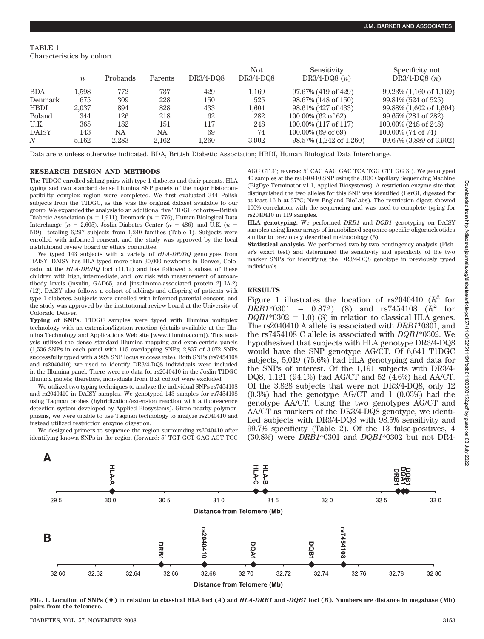**J.M. BARKER AND ASSOCIATES**

TABLE 1 Characteristics by cohort

|              | $\boldsymbol{n}$ | Probands | Parents | $DR3/4-DQ8$ | Not<br>$DR3/4-DQ8$ | Sensitivity<br>DR3/4-DQ8 $(n)$ | Specificity not<br>DR3/4-DQ8 $(n)$ |
|--------------|------------------|----------|---------|-------------|--------------------|--------------------------------|------------------------------------|
| <b>BDA</b>   | $1.598\,$        | 772      | 737     | 429         | 1,169              | 97.67% (419 of 429)            | $99.23\%$ (1,160 of 1,169)         |
| Denmark      | 675              | 309      | 228     | 150         | 525                | 98.67% (148 of 150)            | 99.81% (524 of 525)                |
| <b>HBDI</b>  | 2.037            | 894      | 828     | 433         | 1.604              | 98.61% (427 of 433)            | $99.88\%$ (1,602 of 1,604)         |
| Poland       | 344              | 126      | 218     | 62          | 282                | $100.00\%$ (62 of 62)          | 99.65% (281 of 282)                |
| U.K.         | 365              | 182      | 151     | 117         | 248                | 100.00% (117 of 117)           | 100.00% (248 of 248)               |
| <b>DAISY</b> | 143              | NA       | NA      | 69          | 74                 | $100.00\%$ (69 of 69)          | 100.00% (74 of 74)                 |
| N            | 5.162            | 2.283    | 2.162   | 1.260       | 3.902              | 98.57% (1,242 of 1,260)        | 99.67% (3,889 of 3,902)            |

Data are *n* unless otherwise indicated. BDA, British Diabetic Association; HBDI, Human Biological Data Interchange.

### **RESEARCH DESIGN AND METHODS**

The T1DGC enrolled sibling pairs with type 1 diabetes and their parents. HLA typing and two standard dense Illumina SNP panels of the major histocompatibility complex region were completed. We first evaluated 344 Polish subjects from the T1DGC, as this was the original dataset available to our group. We expanded the analysis to an additional five T1DGC cohorts—British Diabetic Association ( $n = 1.911$ ), Denmark ( $n = 776$ ), Human Biological Data Interchange ( $n = 2,605$ ), Joslin Diabetes Center ( $n = 486$ ), and U.K. ( $n =$ 519)—totaling 6,297 subjects from 1,240 families (Table 1). Subjects were enrolled with informed consent, and the study was approved by the local institutional review board or ethics committee.

We typed 143 subjects with a variety of *HLA-DR/DQ* genotypes from DAISY. DAISY has HLA-typed more than 30,000 newborns in Denver, Colorado, at the *HLA-DR/DQ* loci (11,12) and has followed a subset of these children with high, intermediate, and low risk with measurement of autoantibody levels (insulin, GAD65, and [insulinoma-associated protein 2] IA-2) (12). DAISY also follows a cohort of siblings and offspring of patients with type 1 diabetes. Subjects were enrolled with informed parental consent, and the study was approved by the institutional review board at the University of Colorado Denver.

**Typing of SNPs.** T1DGC samples were typed with Illumina multiplex technology with an extension/ligation reaction (details available at the Illumina Technology and Applications Web site [www.illumina.com]). This analysis utilized the dense standard Illumina mapping and exon-centric panels (1,536 SNPs in each panel with 115 overlapping SNPs; 2,837 of 3,072 SNPs successfully typed with a 92% SNP locus success rate). Both SNPs (rs7454108 and rs2040410) we used to identify DR3/4-DQ8 individuals were included in the Illumina panel. There were no data for rs2040410 in the Joslin T1DGC Illumina panels; therefore, individuals from that cohort were excluded.

We utilized two typing techniques to analyze the individual SNPs rs7454108 and rs2040410 in DAISY samples. We genotyped 143 samples for rs7454108 using Taqman probes (hybridization/extension reaction with a fluorescence detection system developed by Applied Biosystems). Given nearby polymorphisms, we were unable to use Taqman technology to analyze rs2040410 and instead utilized restriction enzyme digestion.

We designed primers to sequence the region surrounding rs2040410 after identifying known SNPs in the region (forward: 5' TGT GCT GAG AGT TCC

AGC CT 3'; reverse: 5' CAC AAG GAC TCA TGG CTT GG 3'). We genotyped 40 samples at the rs2040410 SNP using the 3130 Capillary Sequencing Machine (BigDye Terminator v1.1, Applied Biosystems). A restriction enzyme site that distinguished the two alleles for this SNP was identified (BsrGI, digested for at least 16 h at 37°C; New England BioLabs). The restriction digest showed 100% correlation with the sequencing and was used to complete typing for rs2040410 in 119 samples.

**HLA genotyping.** We performed *DRB1* and *DQB1* genotyping on DAISY samples using linear arrays of immobilized sequence-specific oligonucleotides similar to previously described methodology (5).

**Statistical analysis.** We performed two-by-two contingency analysis (Fisher's exact test) and determined the sensitivity and specificity of the two marker SNPs for identifying the DR3/4-DQ8 genotype in previously typed individuals.

# **RESULTS**

Figure 1 illustrates the location of  $rs2040410 (R^2)$  for  $DRB1*0301 = 0.872$  (8) and rs7454108 ( $R^2$  for  $DQBI*0302 = 1.0$  (8) in relation to classical HLA genes. The rs2040410 A allele is associated with *DRB1*\*0301, and the rs7454108 C allele is associated with *DQB1*\*0302. We hypothesized that subjects with HLA genotype DR3/4-DQ8 would have the SNP genotype AG/CT. Of 6,641 T1DGC subjects, 5,019 (75.6%) had HLA genotyping and data for the SNPs of interest. Of the 1,191 subjects with DR3/4- DQ8, 1,121 (94.1%) had AG/CT and 52 (4.6%) had AA/CT. Of the 3,828 subjects that were not DR3/4-DQ8, only 12 (0.3%) had the genotype AG/CT and 1 (0.03%) had the genotype AA/CT. Using the two genotypes AG/CT and AA/CT as markers of the DR3/4-DQ8 genotype, we identified subjects with DR3/4-DQ8 with 98.5% sensitivity and 99.7% specificity (Table 2). Of the 13 false-positives, 4 (30.8%) were *DRB1*\*0301 and *DQB1*\*0302 but not DR4-



**FIG. 1. Location of SNPs () in relation to classical HLA loci (***A***) and** *HLA-DRB1* **and** *-DQB1* **loci (***B***). Numbers are distance in megabase (Mb) pairs from the telomere.**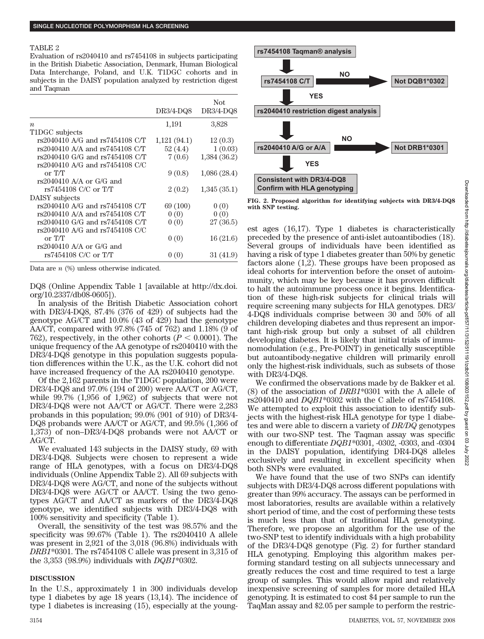#### TABLE 2

Evaluation of rs2040410 and rs7454108 in subjects participating in the British Diabetic Association, Denmark, Human Biological Data Interchange, Poland, and U.K. T1DGC cohorts and in subjects in the DAISY population analyzed by restriction digest and Taqman

|                                     |             | <b>Not</b>  |
|-------------------------------------|-------------|-------------|
|                                     | DR3/4-DQ8   | DR3/4-DQ8   |
| $\boldsymbol{n}$                    | 1,191       | 3,828       |
| T1DGC subjects                      |             |             |
| rs2040410 A/G and rs7454108 C/T     | 1,121(94.1) | 12(0.3)     |
| $rs2040410$ A/A and $rs7454108$ C/T | 52(4.4)     | 1(0.03)     |
| rs2040410 G/G and rs7454108 C/T     | 7(0.6)      | 1,384(36.2) |
| rs2040410 A/G and rs7454108 C/C     |             |             |
| or T/T                              | 9(0.8)      | 1,086(28.4) |
| $rs2040410$ A/A or G/G and          |             |             |
| rs7454108 C/C or T/T                | 2(0.2)      | 1,345(35.1) |
| DAISY subjects                      |             |             |
| rs2040410 A/G and rs7454108 C/T     | 69 (100)    | 0(0)        |
| $rs2040410$ A/A and $rs7454108$ C/T | 0(0)        | 0(0)        |
| rs2040410 G/G and rs7454108 C/T     | 0(0)        | 27 (36.5)   |
| $rs2040410$ A/G and $rs7454108$ C/C |             |             |
| or T/T                              | 0(0)        | 16(21.6)    |
| $rs2040410$ A/A or G/G and          |             |             |
| rs7454108 C/C or T/T                | 0(0)        | 31(41.9)    |
|                                     |             |             |

Data are *n* (%) unless otherwise indicated.

DQ8 (Online Appendix Table 1 [available at http://dx.doi. org/10.2337/db08-0605]).

In analysis of the British Diabetic Association cohort with DR3/4-DQ8, 87.4% (376 of 429) of subjects had the genotype AG/CT and 10.0% (43 of 429) had the genotype AA/CT, compared with 97.8% (745 of 762) and 1.18% (9 of 762), respectively, in the other cohorts  $(P < 0.0001)$ . The unique frequency of the AA genotype of rs2040410 with the DR3/4-DQ8 genotype in this population suggests population differences within the U.K., as the U.K. cohort did not have increased frequency of the AA rs2040410 genotype.

Of the 2,162 parents in the T1DGC population, 200 were DR3/4-DQ8 and 97.0% (194 of 200) were AA/CT or AG/CT, while 99.7% (1,956 of 1,962) of subjects that were not DR3/4-DQ8 were not AA/CT or AG/CT. There were 2,283 probands in this population; 99.0% (901 of 910) of DR3/4- DQ8 probands were AA/CT or AG/CT, and 99.5% (1,366 of 1,373) of non–DR3/4-DQ8 probands were not AA/CT or AG/CT.

We evaluated 143 subjects in the DAISY study, 69 with DR3/4-DQ8. Subjects were chosen to represent a wide range of HLA genotypes, with a focus on DR3/4-DQ8 individuals (Online Appendix Table 2). All 69 subjects with DR3/4-DQ8 were AG/CT, and none of the subjects without DR3/4-DQ8 were AG/CT or AA/CT. Using the two genotypes AG/CT and AA/CT as markers of the DR3/4-DQ8 genotype, we identified subjects with DR3/4-DQ8 with 100% sensitivity and specificity (Table 1).

Overall, the sensitivity of the test was 98.57% and the specificity was 99.67% (Table 1). The rs2040410 A allele was present in 2,921 of the 3,018 (96.8%) individuals with *DRB1*\*0301. The rs7454108 C allele was present in 3,315 of the 3,353 (98.9%) individuals with *DQB1*\*0302.

#### **DISCUSSION**

In the U.S., approximately 1 in 300 individuals develop type 1 diabetes by age 18 years (13,14). The incidence of type 1 diabetes is increasing (15), especially at the young-



**FIG. 2. Proposed algorithm for identifying subjects with DR3/4-DQ8 with SNP testing.**

est ages (16,17). Type 1 diabetes is characteristically preceded by the presence of anti-islet autoantibodies (18). Several groups of individuals have been identified as having a risk of type 1 diabetes greater than 50% by genetic factors alone (1,2). These groups have been proposed as ideal cohorts for intervention before the onset of autoimmunity, which may be key because it has proven difficult to halt the autoimmune process once it begins. Identification of these high-risk subjects for clinical trials will require screening many subjects for HLA genotypes. DR3/ 4-DQ8 individuals comprise between 30 and 50% of all children developing diabetes and thus represent an important high-risk group but only a subset of all children developing diabetes. It is likely that initial trials of immunomodulation (e.g., Pre-POINT) in genetically susceptible but autoantibody-negative children will primarily enroll only the highest-risk individuals, such as subsets of those with DR3/4-DQ8.

We confirmed the observations made by de Bakker et al. (8) of the association of *DRB1*\*0301 with the A allele of rs2040410 and *DQB1*\*0302 with the C allele of rs7454108. We attempted to exploit this association to identify subjects with the highest-risk HLA genotype for type 1 diabetes and were able to discern a variety of *DR/DQ* genotypes with our two-SNP test. The Taqman assay was specific enough to differentiate *DQB1*\*0301, -0302, -0303, and -0304 in the DAISY population, identifying DR4-DQ8 alleles exclusively and resulting in excellent specificity when both SNPs were evaluated.

We have found that the use of two SNPs can identify subjects with DR3/4-DQ8 across different populations with greater than 99% accuracy. The assays can be performed in most laboratories, results are available within a relatively short period of time, and the cost of performing these tests is much less than that of traditional HLA genotyping. Therefore, we propose an algorithm for the use of the two-SNP test to identify individuals with a high probability of the DR3/4-DQ8 genotype (Fig. 2) for further standard HLA genotyping. Employing this algorithm makes performing standard testing on all subjects unnecessary and greatly reduces the cost and time required to test a large group of samples. This would allow rapid and relatively inexpensive screening of samples for more detailed HLA genotyping. It is estimated to cost \$4 per sample to run the TaqMan assay and \$2.05 per sample to perform the restric-